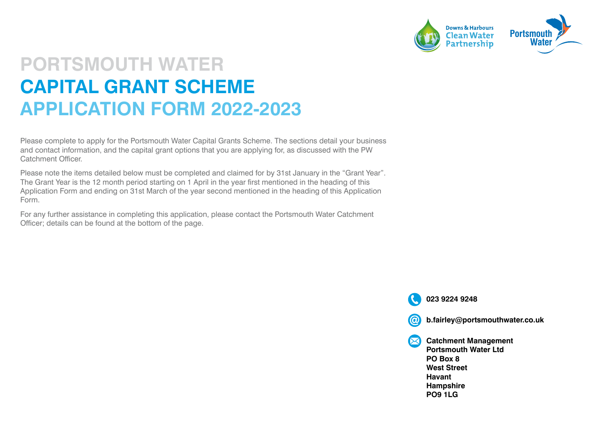

#### **PORTSMOUTH WATER CAPITAL GRANT SCHEME APPLICATION FORM 2022-2023**

Please complete to apply for the Portsmouth Water Capital Grants Scheme. The sections detail your business and contact information, and the capital grant options that you are applying for, as discussed with the PW Catchment Officer.

Please note the items detailed below must be completed and claimed for by 31st January in the "Grant Year". The Grant Year is the 12 month period starting on 1 April in the year first mentioned in the heading of this Application Form and ending on 31st March of the year second mentioned in the heading of this Application Form.

For any further assistance in completing this application, please contact the Portsmouth Water Catchment Officer; details can be found at the bottom of the page.

**023 9224 9248**

(@ **b.fairley@portsmouthwater.co.uk**

**Catchment Management**   $\bm{\boxtimes}$ **Portsmouth Water Ltd PO Box 8 West Street Havant Hampshire PO9 1LG**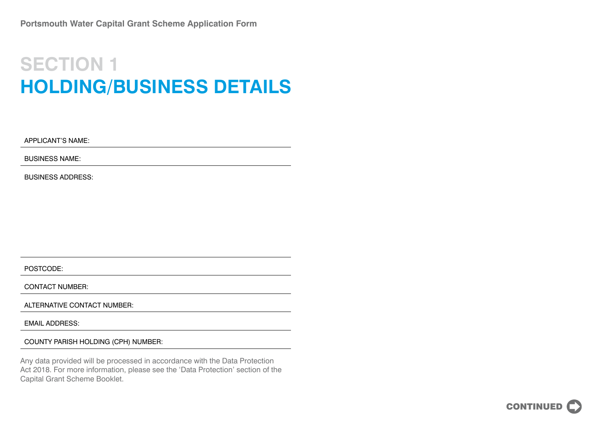#### **SECTION 1 HOLDING/BUSINESS DETAILS**

APPLICANT'S NAME:

BUSINESS NAME:

BUSINESS ADDRESS:

POSTCODE:

CONTACT NUMBER:

ALTERNATIVE CONTACT NUMBER:

EMAIL ADDRESS:

COUNTY PARISH HOLDING (CPH) NUMBER:

Any data provided will be processed in accordance with the Data Protection Act 2018. For more information, please see the 'Data Protection' section of the Capital Grant Scheme Booklet.

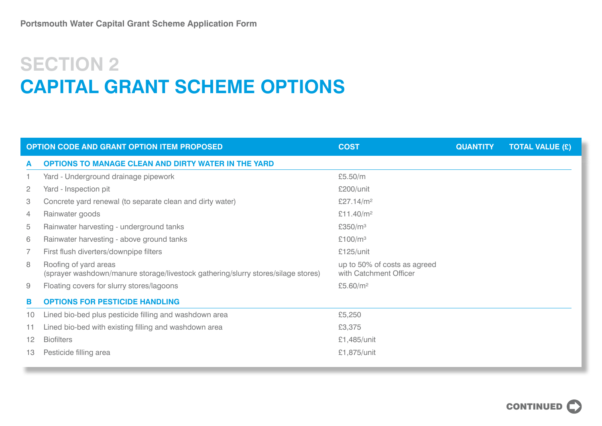# **SECTION 2 CAPITAL GRANT SCHEME OPTIONS**

| <b>OPTION CODE AND GRANT OPTION ITEM PROPOSED</b> |                                                                                                            | <b>COST</b>                                            | <b>QUANTITY</b> | <b>TOTAL VALUE (£)</b> |
|---------------------------------------------------|------------------------------------------------------------------------------------------------------------|--------------------------------------------------------|-----------------|------------------------|
| A                                                 | <b>OPTIONS TO MANAGE CLEAN AND DIRTY WATER IN THE YARD</b>                                                 |                                                        |                 |                        |
|                                                   | Yard - Underground drainage pipework                                                                       | £5.50/m                                                |                 |                        |
| $\overline{2}$                                    | Yard - Inspection pit                                                                                      | £200/unit                                              |                 |                        |
| 3                                                 | Concrete yard renewal (to separate clean and dirty water)                                                  | £27.14/m <sup>2</sup>                                  |                 |                        |
| $\overline{4}$                                    | Rainwater goods                                                                                            | £11.40/m <sup>2</sup>                                  |                 |                        |
| 5                                                 | Rainwater harvesting - underground tanks                                                                   | £350/m <sup>3</sup>                                    |                 |                        |
| 6                                                 | Rainwater harvesting - above ground tanks                                                                  | £100/ $m3$                                             |                 |                        |
| $\overline{7}$                                    | First flush diverters/downpipe filters                                                                     | £125/unit                                              |                 |                        |
| 8                                                 | Roofing of yard areas<br>(sprayer washdown/manure storage/livestock gathering/slurry stores/silage stores) | up to 50% of costs as agreed<br>with Catchment Officer |                 |                        |
| 9                                                 | Floating covers for slurry stores/lagoons                                                                  | £5.60/ $m^2$                                           |                 |                        |
| в                                                 | <b>OPTIONS FOR PESTICIDE HANDLING</b>                                                                      |                                                        |                 |                        |
| 10                                                | Lined bio-bed plus pesticide filling and washdown area                                                     | £5,250                                                 |                 |                        |
| 11                                                | Lined bio-bed with existing filling and washdown area                                                      | £3,375                                                 |                 |                        |
| 12                                                | <b>Biofilters</b>                                                                                          | £1,485/unit                                            |                 |                        |
| 13                                                | Pesticide filling area                                                                                     | £1,875/unit                                            |                 |                        |

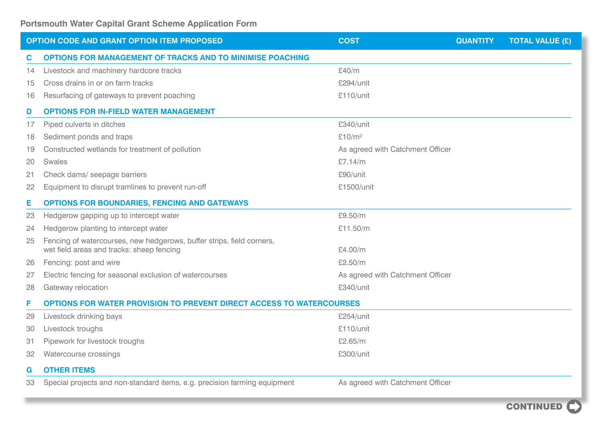| <b>OPTION CODE AND GRANT OPTION ITEM PROPOSED</b> |                                                                                                                    | <b>COST</b>                      | <b>QUANTITY</b> | <b>TOTAL VALUE (£)</b> |  |  |
|---------------------------------------------------|--------------------------------------------------------------------------------------------------------------------|----------------------------------|-----------------|------------------------|--|--|
| C                                                 | <b>OPTIONS FOR MANAGEMENT OF TRACKS AND TO MINIMISE POACHING</b>                                                   |                                  |                 |                        |  |  |
| 14                                                | Livestock and machinery hardcore tracks                                                                            | £40/m                            |                 |                        |  |  |
| 15                                                | Cross drains in or on farm tracks                                                                                  | £294/unit                        |                 |                        |  |  |
| 16                                                | Resurfacing of gateways to prevent poaching                                                                        | £110/unit                        |                 |                        |  |  |
| D                                                 | <b>OPTIONS FOR IN-FIELD WATER MANAGEMENT</b>                                                                       |                                  |                 |                        |  |  |
| 17                                                | Piped culverts in ditches                                                                                          | £340/unit                        |                 |                        |  |  |
| 18                                                | Sediment ponds and traps                                                                                           | £10/m <sup>2</sup>               |                 |                        |  |  |
| 19                                                | Constructed wetlands for treatment of pollution                                                                    | As agreed with Catchment Officer |                 |                        |  |  |
| 20                                                | Swales                                                                                                             | £7.14/m                          |                 |                        |  |  |
| 21                                                | Check dams/ seepage barriers                                                                                       | £90/unit                         |                 |                        |  |  |
| 22                                                | Equipment to disrupt tramlines to prevent run-off                                                                  | £1500/unit                       |                 |                        |  |  |
| Е                                                 | <b>OPTIONS FOR BOUNDARIES, FENCING AND GATEWAYS</b>                                                                |                                  |                 |                        |  |  |
| 23                                                | Hedgerow gapping up to intercept water                                                                             | £9.50/m                          |                 |                        |  |  |
| 24                                                | Hedgerow planting to intercept water                                                                               | £11.50/m                         |                 |                        |  |  |
| 25                                                | Fencing of watercourses, new hedgerows, buffer strips, field corners,<br>wet field areas and tracks: sheep fencing | £4.00/m                          |                 |                        |  |  |
| 26                                                | Fencing: post and wire                                                                                             | £2.50/m                          |                 |                        |  |  |
| 27                                                | Electric fencing for seasonal exclusion of watercourses                                                            | As agreed with Catchment Officer |                 |                        |  |  |
| 28                                                | Gateway relocation                                                                                                 | £340/unit                        |                 |                        |  |  |
| F                                                 | <b>OPTIONS FOR WATER PROVISION TO PREVENT DIRECT ACCESS TO WATERCOURSES</b>                                        |                                  |                 |                        |  |  |
| 29                                                | Livestock drinking bays                                                                                            | £254/unit                        |                 |                        |  |  |
| 30                                                | Livestock troughs                                                                                                  | £110/unit                        |                 |                        |  |  |
| 31                                                | Pipework for livestock troughs                                                                                     | £2.65/m                          |                 |                        |  |  |
| 32                                                | Watercourse crossings                                                                                              | £300/unit                        |                 |                        |  |  |
| G                                                 | <b>OTHER ITEMS</b>                                                                                                 |                                  |                 |                        |  |  |
| 33                                                | Special projects and non-standard items, e.g. precision farming equipment                                          | As agreed with Catchment Officer |                 |                        |  |  |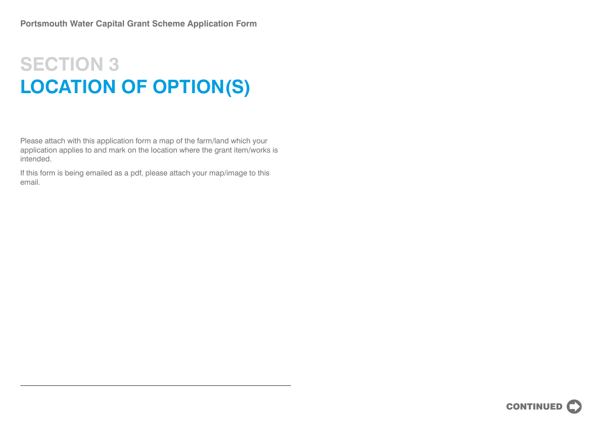### **SECTION 3 LOCATION OF OPTION(S)**

Please attach with this application form a map of the farm/land which your application applies to and mark on the location where the grant item/works is intended.

If this form is being emailed as a pdf, please attach your map/image to this email.

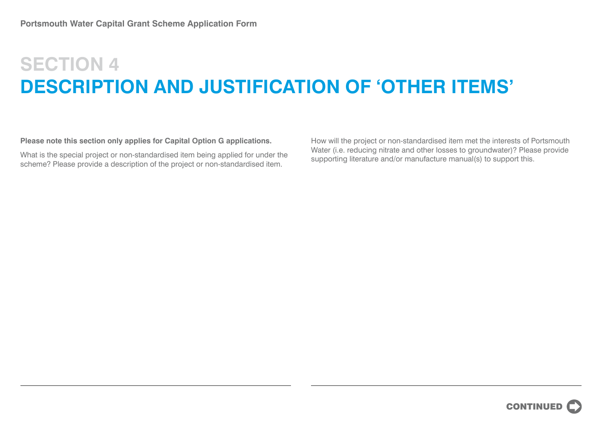# **SECTION 4 DESCRIPTION AND JUSTIFICATION OF 'OTHER ITEMS'**

**Please note this section only applies for Capital Option G applications.**

What is the special project or non-standardised item being applied for under the scheme? Please provide a description of the project or non-standardised item.

How will the project or non-standardised item met the interests of Portsmouth Water (i.e. reducing nitrate and other losses to groundwater)? Please provide supporting literature and/or manufacture manual(s) to support this.